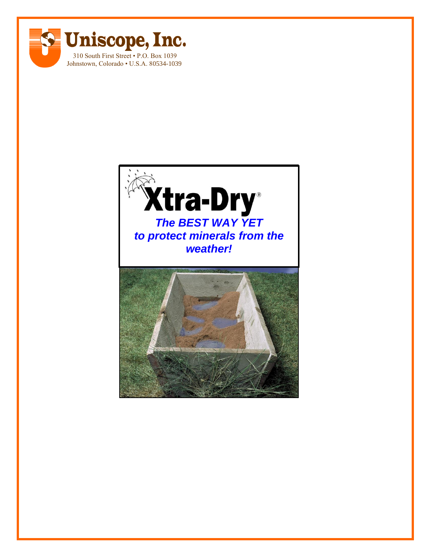

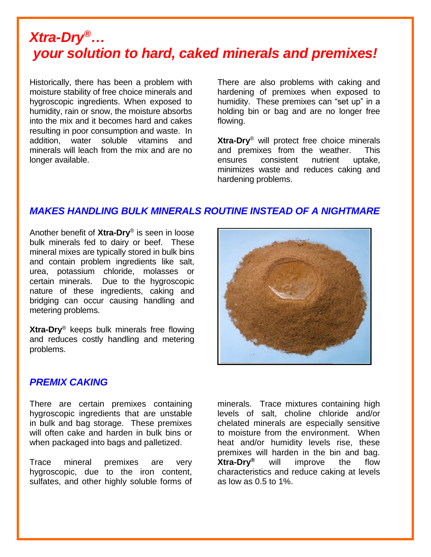### *Xtra-Dry®… your solution to hard, caked minerals and premixes!*

Historically, there has been a problem with moisture stability of free choice minerals and hygroscopic ingredients. When exposed to humidity, rain or snow, the moisture absorbs into the mix and it becomes hard and cakes resulting in poor consumption and waste. In addition, water soluble vitamins and minerals will leach from the mix and are no longer available.

There are also problems with caking and hardening of premixes when exposed to humidity. These premixes can "set up" in a holding bin or bag and are no longer free flowing.

**Xtra-Dry**® will protect free choice minerals and premixes from the weather. This ensures consistent nutrient uptake, minimizes waste and reduces caking and hardening problems.

### *MAKES HANDLING BULK MINERALS ROUTINE INSTEAD OF A NIGHTMARE*

Another benefit of **Xtra-Dry**® is seen in loose bulk minerals fed to dairy or beef. These mineral mixes are typically stored in bulk bins and contain problem ingredients like salt, urea, potassium chloride, molasses or certain minerals. Due to the hygroscopic nature of these ingredients, caking and bridging can occur causing handling and metering problems.

**Xtra-Dry**® keeps bulk minerals free flowing and reduces costly handling and metering problems.



#### *PREMIX CAKING*

There are certain premixes containing hygroscopic ingredients that are unstable in bulk and bag storage. These premixes will often cake and harden in bulk bins or when packaged into bags and palletized.

Trace mineral premixes are very hygroscopic, due to the iron content, sulfates, and other highly soluble forms of

minerals. Trace mixtures containing high levels of salt, choline chloride and/or chelated minerals are especially sensitive to moisture from the environment. When heat and/or humidity levels rise, these premixes will harden in the bin and bag. **Xtra-Dry®** will improve the flow characteristics and reduce caking at levels as low as 0.5 to 1%.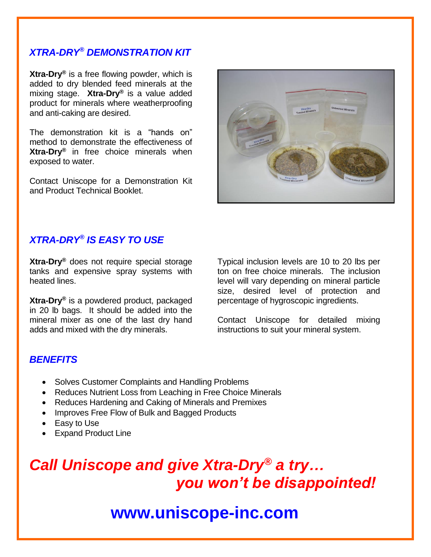### *XTRA-DRY® DEMONSTRATION KIT*

**Xtra-Dry®** is a free flowing powder, which is added to dry blended feed minerals at the mixing stage. **Xtra-Dry®** is a value added product for minerals where weatherproofing and anti-caking are desired.

The demonstration kit is a "hands on" method to demonstrate the effectiveness of **Xtra-Dry®** in free choice minerals when exposed to water.

Contact Uniscope for a Demonstration Kit and Product Technical Booklet.



#### *XTRA-DRY® IS EASY TO USE*

**Xtra-Dry®** does not require special storage tanks and expensive spray systems with heated lines.

**Xtra-Dry®** is a powdered product, packaged in 20 lb bags. It should be added into the mineral mixer as one of the last dry hand adds and mixed with the dry minerals.

Typical inclusion levels are 10 to 20 lbs per ton on free choice minerals. The inclusion level will vary depending on mineral particle size, desired level of protection and percentage of hygroscopic ingredients.

Contact Uniscope for detailed mixing instructions to suit your mineral system.

#### *BENEFITS*

- Solves Customer Complaints and Handling Problems
- Reduces Nutrient Loss from Leaching in Free Choice Minerals
- Reduces Hardening and Caking of Minerals and Premixes
- Improves Free Flow of Bulk and Bagged Products
- Easy to Use
- Expand Product Line

# *Call Uniscope and give Xtra-Dry® a try… you won't be disappointed!*

## **www.uniscope-inc.com**